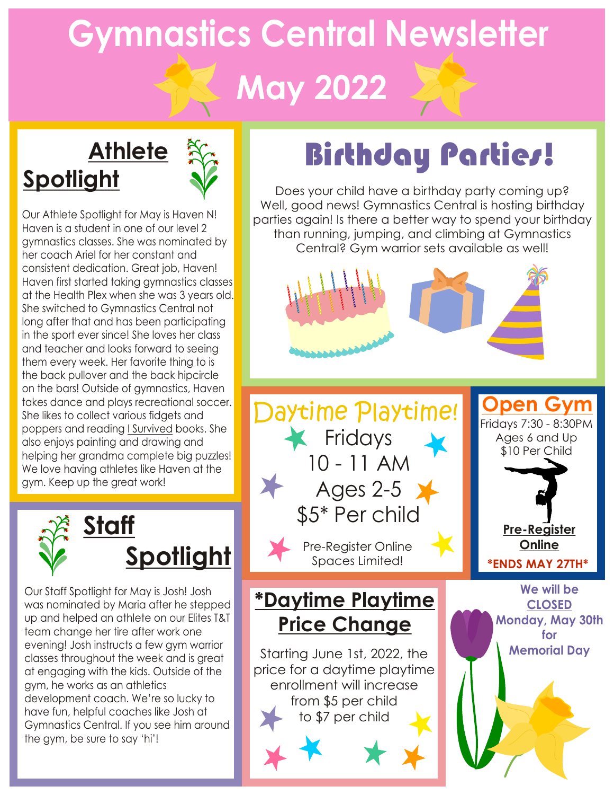# **Gymnastics Central Newsletter May 2022**

## **Athlete Spotlight**



Our Athlete Spotlight for May is Haven N! Haven is a student in one of our level 2 gymnastics classes. She was nominated by her coach Ariel for her constant and consistent dedication. Great job, Haven! Haven first started taking gymnastics classes at the Health Plex when she was 3 years old. She switched to Gymnastics Central not long after that and has been participating in the sport ever since! She loves her class and teacher and looks forward to seeing them every week. Her favorite thing to is the back pullover and the back hipcircle on the bars! Outside of gymnastics, Haven takes dance and plays recreational soccer. She likes to collect various fidgets and poppers and reading I Survived books. She also enjoys painting and drawing and helping her grandma complete big puzzles! We love having athletes like Haven at the gym. Keep up the great work!



Our Staff Spotlight for May is Josh! Josh was nominated by Maria after he stepped up and helped an athlete on our Elites T&T team change her tire after work one evening! Josh instructs a few gym warrior classes throughout the week and is great at engaging with the kids. Outside of the gym, he works as an athletics development coach. We're so lucky to have fun, helpful coaches like Josh at Gymnastics Central. If you see him around the gym, be sure to say 'hi'!

## Birthday Parties!

Does your child have a birthday party coming up? Well, good news! Gymnastics Central is hosting birthday parties again! Is there a better way to spend your birthday than running, jumping, and climbing at Gymnastics Central? Gym warrior sets available as well!